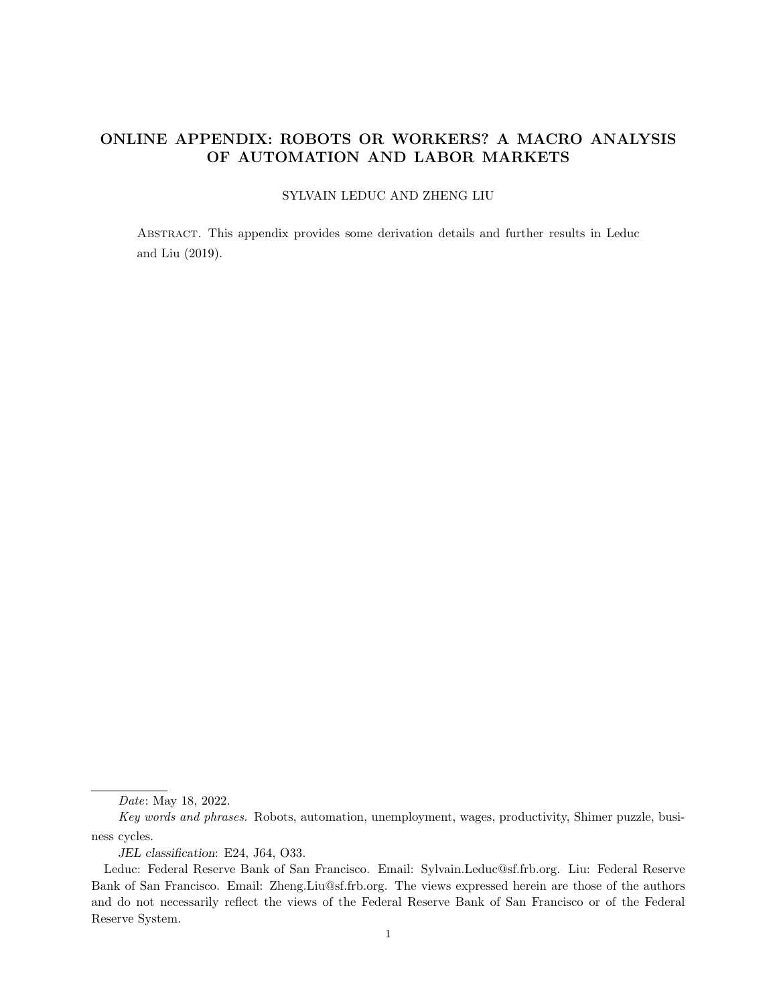# ONLINE APPENDIX: ROBOTS OR WORKERS? A MACRO ANALYSIS OF AUTOMATION AND LABOR MARKETS

#### SYLVAIN LEDUC AND ZHENG LIU

Abstract. This appendix provides some derivation details and further results in Leduc and Liu (2019).

Date: May 18, 2022.

Key words and phrases. Robots, automation, unemployment, wages, productivity, Shimer puzzle, business cycles.

JEL classification: E24, J64, O33.

Leduc: Federal Reserve Bank of San Francisco. Email: Sylvain.Leduc@sf.frb.org. Liu: Federal Reserve Bank of San Francisco. Email: Zheng.Liu@sf.frb.org. The views expressed herein are those of the authors and do not necessarily reflect the views of the Federal Reserve Bank of San Francisco or of the Federal Reserve System.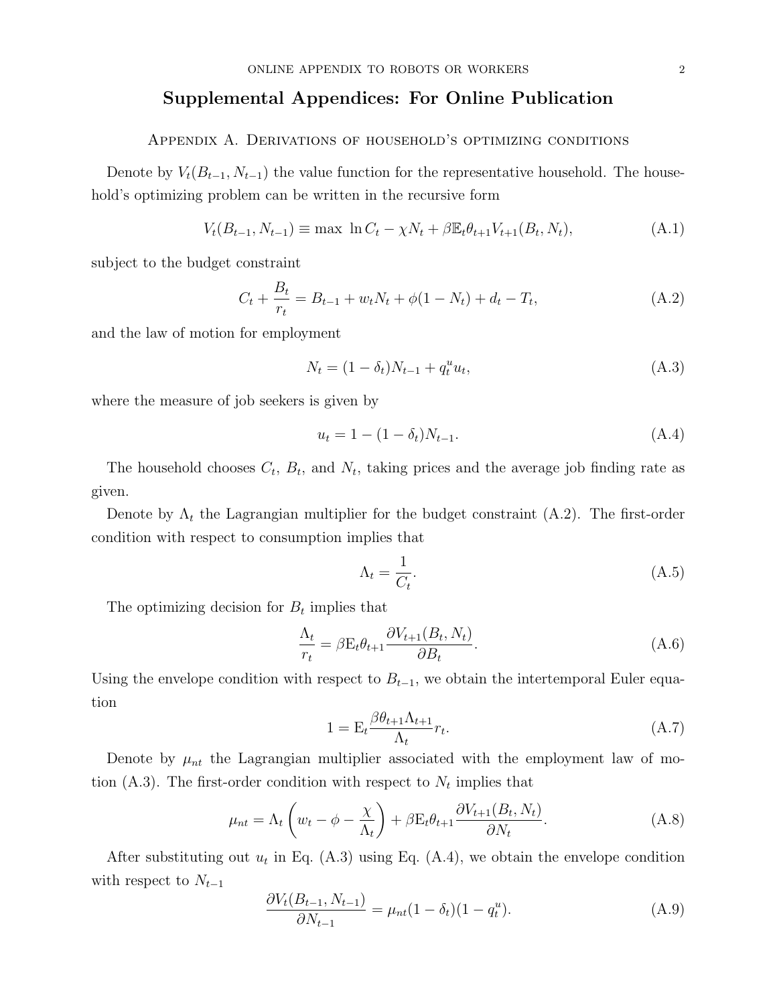# Supplemental Appendices: For Online Publication

Appendix A. Derivations of household's optimizing conditions

Denote by  $V_t(B_{t-1}, N_{t-1})$  the value function for the representative household. The household's optimizing problem can be written in the recursive form

$$
V_t(B_{t-1}, N_{t-1}) \equiv \max \ln C_t - \chi N_t + \beta \mathbb{E}_t \theta_{t+1} V_{t+1}(B_t, N_t), \tag{A.1}
$$

subject to the budget constraint

$$
C_t + \frac{B_t}{r_t} = B_{t-1} + w_t N_t + \phi(1 - N_t) + d_t - T_t,
$$
\n(A.2)

and the law of motion for employment

$$
N_t = (1 - \delta_t)N_{t-1} + q_t^u u_t,
$$
\n(A.3)

where the measure of job seekers is given by

$$
u_t = 1 - (1 - \delta_t)N_{t-1}.
$$
\n(A.4)

The household chooses  $C_t$ ,  $B_t$ , and  $N_t$ , taking prices and the average job finding rate as given.

Denote by  $\Lambda_t$  the Lagrangian multiplier for the budget constraint (A.2). The first-order condition with respect to consumption implies that

$$
\Lambda_t = \frac{1}{C_t}.\tag{A.5}
$$

The optimizing decision for  $B_t$  implies that

$$
\frac{\Lambda_t}{r_t} = \beta \mathcal{E}_t \theta_{t+1} \frac{\partial V_{t+1}(B_t, N_t)}{\partial B_t}.
$$
\n(A.6)

Using the envelope condition with respect to  $B_{t-1}$ , we obtain the intertemporal Euler equation

$$
1 = \mathcal{E}_t \frac{\beta \theta_{t+1} \Lambda_{t+1}}{\Lambda_t} r_t.
$$
\n(A.7)

Denote by  $\mu_{nt}$  the Lagrangian multiplier associated with the employment law of motion (A.3). The first-order condition with respect to  $N_t$  implies that

$$
\mu_{nt} = \Lambda_t \left( w_t - \phi - \frac{\chi}{\Lambda_t} \right) + \beta E_t \theta_{t+1} \frac{\partial V_{t+1}(B_t, N_t)}{\partial N_t}.
$$
\n(A.8)

After substituting out  $u_t$  in Eq. (A.3) using Eq. (A.4), we obtain the envelope condition with respect to  $N_{t-1}$ 

$$
\frac{\partial V_t(B_{t-1}, N_{t-1})}{\partial N_{t-1}} = \mu_{nt}(1 - \delta_t)(1 - q_t^u). \tag{A.9}
$$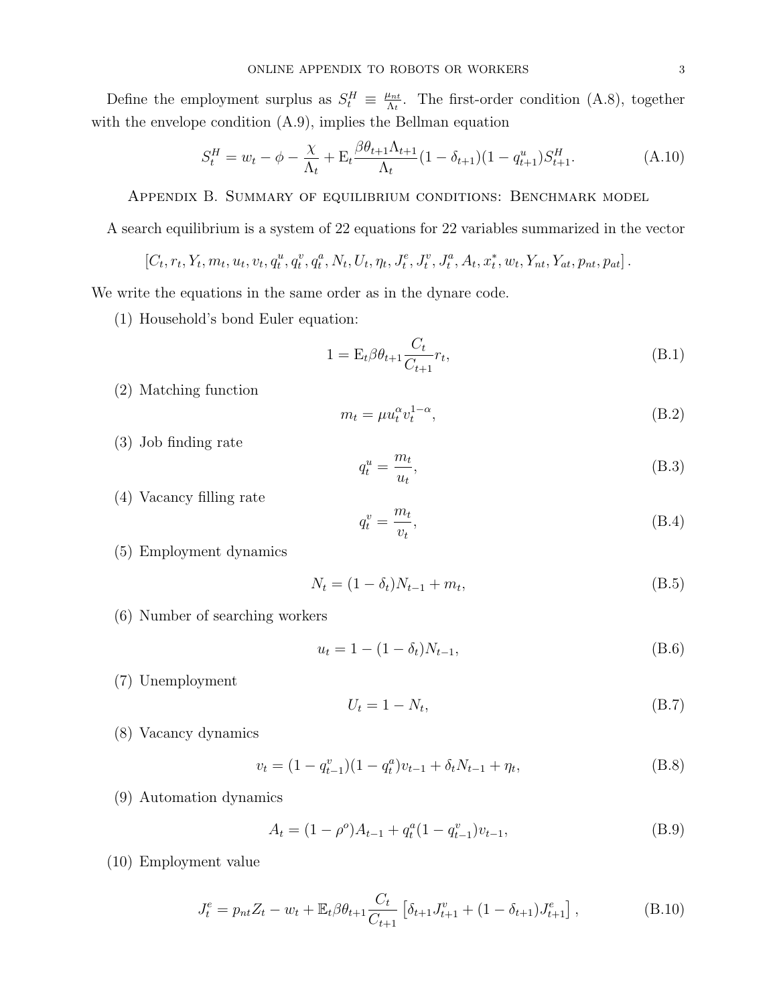Define the employment surplus as  $S_t^H \equiv \frac{\mu_{nt}}{\Lambda_t}$  $\frac{u_{nt}}{\Lambda_t}$ . The first-order condition (A.8), together with the envelope condition (A.9), implies the Bellman equation

$$
S_t^H = w_t - \phi - \frac{\chi}{\Lambda_t} + \mathcal{E}_t \frac{\beta \theta_{t+1} \Lambda_{t+1}}{\Lambda_t} (1 - \delta_{t+1}) (1 - q_{t+1}^u) S_{t+1}^H. \tag{A.10}
$$

#### Appendix B. Summary of equilibrium conditions: Benchmark model

A search equilibrium is a system of 22 equations for 22 variables summarized in the vector

 $[C_t, r_t, Y_t, m_t, u_t, v_t, q_t^u, q_t^v, q_t^a, N_t, U_t, \eta_t, J_t^e, J_t^v, J_t^a, A_t, x_t^*, w_t, Y_{nt}, Y_{at}, p_{nt}, p_{at}]$ .

We write the equations in the same order as in the dynare code.

(1) Household's bond Euler equation:

$$
1 = E_t \beta \theta_{t+1} \frac{C_t}{C_{t+1}} r_t,
$$
\n(B.1)

(2) Matching function

$$
m_t = \mu u_t^{\alpha} v_t^{1-\alpha},\tag{B.2}
$$

(3) Job finding rate

$$
q_t^u = \frac{m_t}{u_t},\tag{B.3}
$$

(4) Vacancy filling rate

$$
q_t^v = \frac{m_t}{v_t},\tag{B.4}
$$

(5) Employment dynamics

$$
N_t = (1 - \delta_t)N_{t-1} + m_t,
$$
\n(B.5)

(6) Number of searching workers

$$
u_t = 1 - (1 - \delta_t)N_{t-1},
$$
\n(B.6)

(7) Unemployment

$$
U_t = 1 - N_t,\tag{B.7}
$$

(8) Vacancy dynamics

$$
v_t = (1 - q_{t-1}^v)(1 - q_t^a)v_{t-1} + \delta_t N_{t-1} + \eta_t,
$$
\n(B.8)

(9) Automation dynamics

$$
A_t = (1 - \rho^o)A_{t-1} + q_t^a (1 - q_{t-1}^v)v_{t-1},
$$
\n(B.9)

(10) Employment value

$$
J_t^e = p_{nt} Z_t - w_t + \mathbb{E}_t \beta \theta_{t+1} \frac{C_t}{C_{t+1}} \left[ \delta_{t+1} J_{t+1}^v + (1 - \delta_{t+1}) J_{t+1}^e \right],
$$
 (B.10)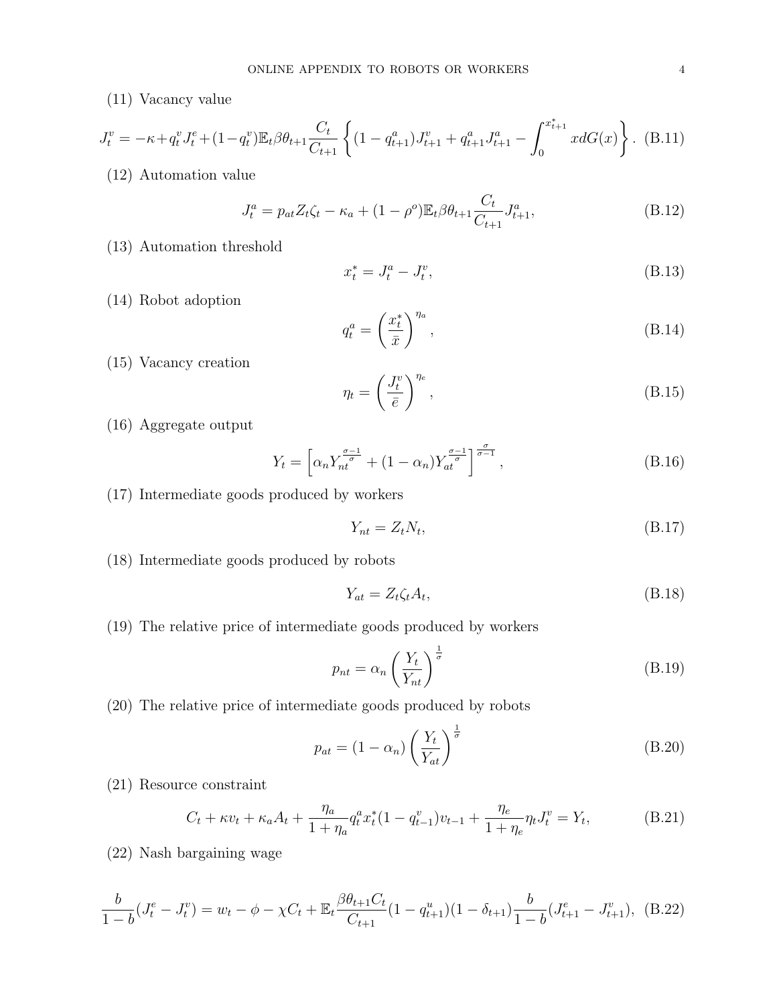(11) Vacancy value

$$
J_t^v = -\kappa + q_t^v J_t^e + (1 - q_t^v) \mathbb{E}_t \beta \theta_{t+1} \frac{C_t}{C_{t+1}} \left\{ (1 - q_{t+1}^a) J_{t+1}^v + q_{t+1}^a J_{t+1}^a - \int_0^{x_{t+1}^*} x dG(x) \right\}.
$$
 (B.11)

(12) Automation value

$$
J_t^a = p_{at} Z_t \zeta_t - \kappa_a + (1 - \rho^o) \mathbb{E}_t \beta \theta_{t+1} \frac{C_t}{C_{t+1}} J_{t+1}^a,
$$
(B.12)

(13) Automation threshold

$$
x_t^* = J_t^a - J_t^v,\tag{B.13}
$$

(14) Robot adoption

$$
q_t^a = \left(\frac{x_t^*}{\bar{x}}\right)^{\eta_a},\tag{B.14}
$$

(15) Vacancy creation

$$
\eta_t = \left(\frac{J_t^v}{\bar{e}}\right)^{\eta_e},\tag{B.15}
$$

(16) Aggregate output

$$
Y_t = \left[ \alpha_n Y_{nt}^{\frac{\sigma - 1}{\sigma}} + (1 - \alpha_n) Y_{nt}^{\frac{\sigma - 1}{\sigma}} \right]^{\frac{\sigma}{\sigma - 1}},
$$
\n(B.16)

(17) Intermediate goods produced by workers

$$
Y_{nt} = Z_t N_t, \tag{B.17}
$$

(18) Intermediate goods produced by robots

$$
Y_{at} = Z_t \zeta_t A_t,\tag{B.18}
$$

(19) The relative price of intermediate goods produced by workers

$$
p_{nt} = \alpha_n \left(\frac{Y_t}{Y_{nt}}\right)^{\frac{1}{\sigma}} \tag{B.19}
$$

(20) The relative price of intermediate goods produced by robots

$$
p_{at} = (1 - \alpha_n) \left(\frac{Y_t}{Y_{at}}\right)^{\frac{1}{\sigma}}
$$
 (B.20)

(21) Resource constraint

$$
C_t + \kappa v_t + \kappa_a A_t + \frac{\eta_a}{1 + \eta_a} q_t^a x_t^* (1 - q_{t-1}^v) v_{t-1} + \frac{\eta_e}{1 + \eta_e} \eta_t J_t^v = Y_t,
$$
 (B.21)

(22) Nash bargaining wage

$$
\frac{b}{1-b}(J_t^e - J_t^v) = w_t - \phi - \chi C_t + \mathbb{E}_t \frac{\beta \theta_{t+1} C_t}{C_{t+1}} (1 - q_{t+1}^u)(1 - \delta_{t+1}) \frac{b}{1-b}(J_{t+1}^e - J_{t+1}^v), \quad (B.22)
$$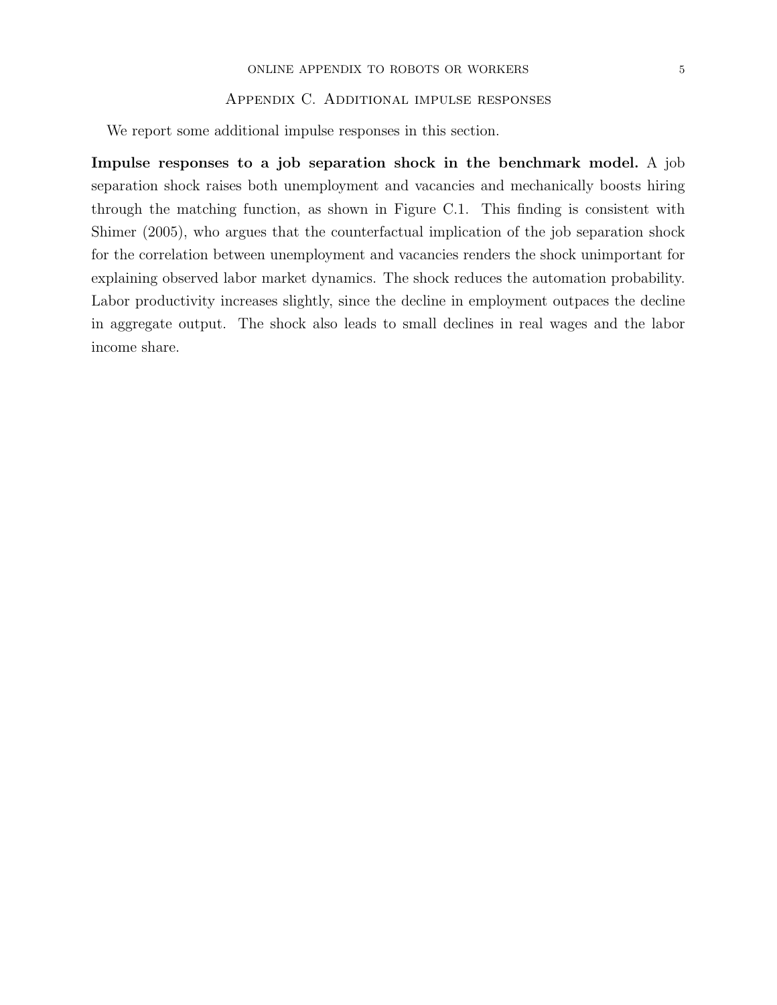#### ONLINE APPENDIX TO ROBOTS OR WORKERS  $\hspace{2cm} 5$

#### Appendix C. Additional impulse responses

We report some additional impulse responses in this section.

Impulse responses to a job separation shock in the benchmark model. A job separation shock raises both unemployment and vacancies and mechanically boosts hiring through the matching function, as shown in Figure C.1. This finding is consistent with Shimer (2005), who argues that the counterfactual implication of the job separation shock for the correlation between unemployment and vacancies renders the shock unimportant for explaining observed labor market dynamics. The shock reduces the automation probability. Labor productivity increases slightly, since the decline in employment outpaces the decline in aggregate output. The shock also leads to small declines in real wages and the labor income share.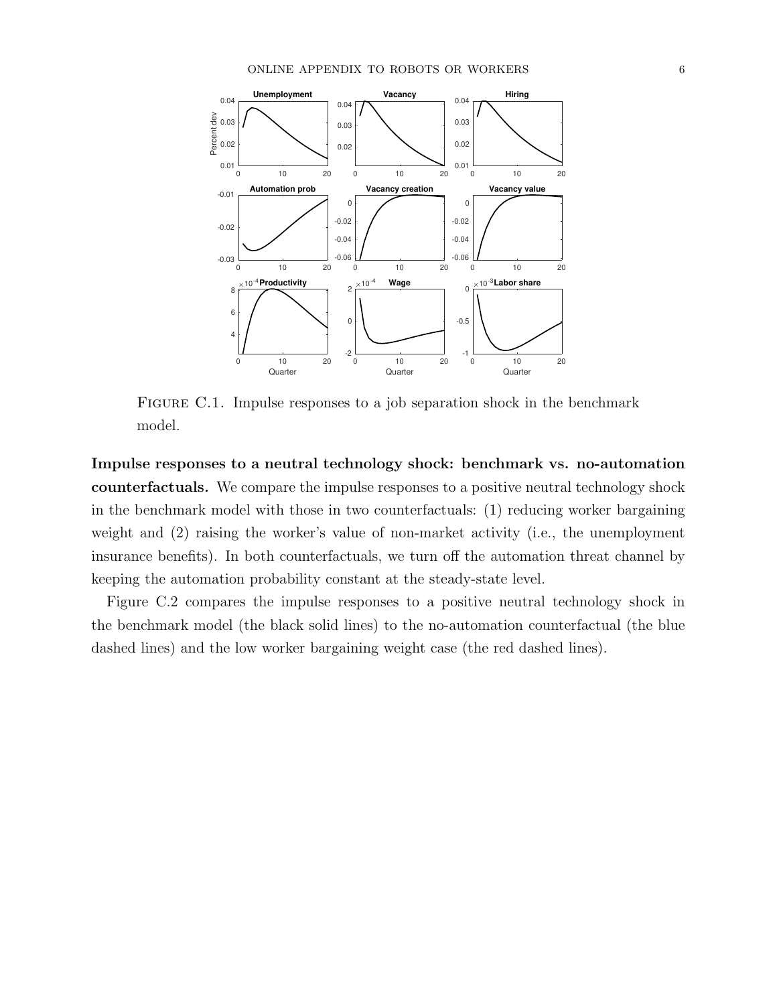

FIGURE C.1. Impulse responses to a job separation shock in the benchmark model.

Impulse responses to a neutral technology shock: benchmark vs. no-automation counterfactuals. We compare the impulse responses to a positive neutral technology shock in the benchmark model with those in two counterfactuals: (1) reducing worker bargaining weight and  $(2)$  raising the worker's value of non-market activity (i.e., the unemployment insurance benefits). In both counterfactuals, we turn off the automation threat channel by keeping the automation probability constant at the steady-state level.

Figure C.2 compares the impulse responses to a positive neutral technology shock in the benchmark model (the black solid lines) to the no-automation counterfactual (the blue dashed lines) and the low worker bargaining weight case (the red dashed lines).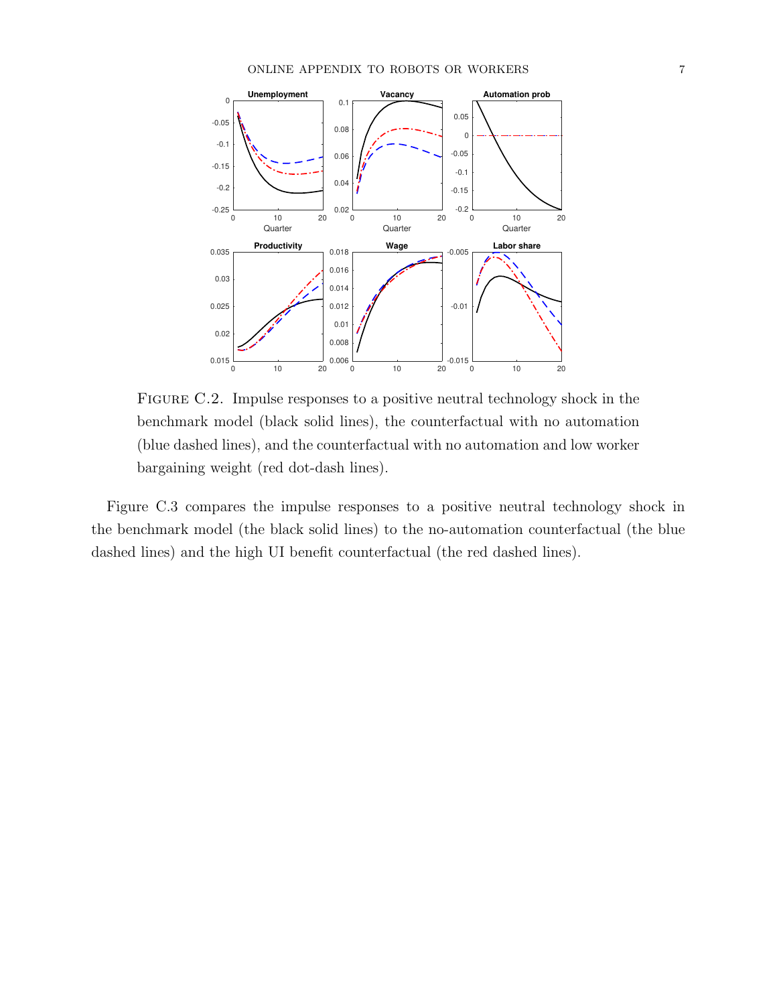

FIGURE C.2. Impulse responses to a positive neutral technology shock in the benchmark model (black solid lines), the counterfactual with no automation (blue dashed lines), and the counterfactual with no automation and low worker bargaining weight (red dot-dash lines).

Figure C.3 compares the impulse responses to a positive neutral technology shock in the benchmark model (the black solid lines) to the no-automation counterfactual (the blue dashed lines) and the high UI benefit counterfactual (the red dashed lines).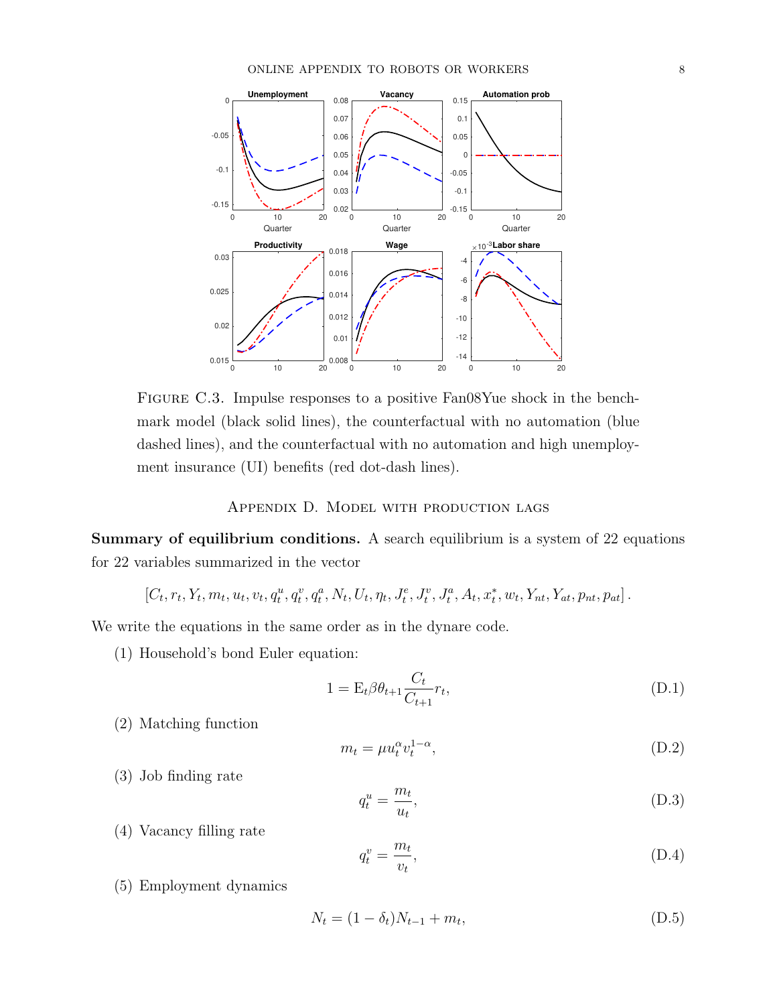

Figure C.3. Impulse responses to a positive Fan08Yue shock in the benchmark model (black solid lines), the counterfactual with no automation (blue dashed lines), and the counterfactual with no automation and high unemployment insurance (UI) benefits (red dot-dash lines).

## Appendix D. Model with production lags

Summary of equilibrium conditions. A search equilibrium is a system of 22 equations for 22 variables summarized in the vector

$$
[C_t, r_t, Y_t, m_t, u_t, v_t, q_t^u, q_t^v, q_t^a, N_t, U_t, \eta_t, J_t^e, J_t^v, J_t^a, A_t, x_t^*, w_t, Y_{nt}, Y_{at}, p_{nt}, p_{at}].
$$

We write the equations in the same order as in the dynare code.

(1) Household's bond Euler equation:

$$
1 = E_t \beta \theta_{t+1} \frac{C_t}{C_{t+1}} r_t,
$$
\n(D.1)

(2) Matching function

$$
m_t = \mu u_t^{\alpha} v_t^{1-\alpha},\tag{D.2}
$$

(3) Job finding rate

$$
q_t^u = \frac{m_t}{u_t},\tag{D.3}
$$

(4) Vacancy filling rate

$$
q_t^v = \frac{m_t}{v_t},\tag{D.4}
$$

(5) Employment dynamics

$$
N_t = (1 - \delta_t)N_{t-1} + m_t, \tag{D.5}
$$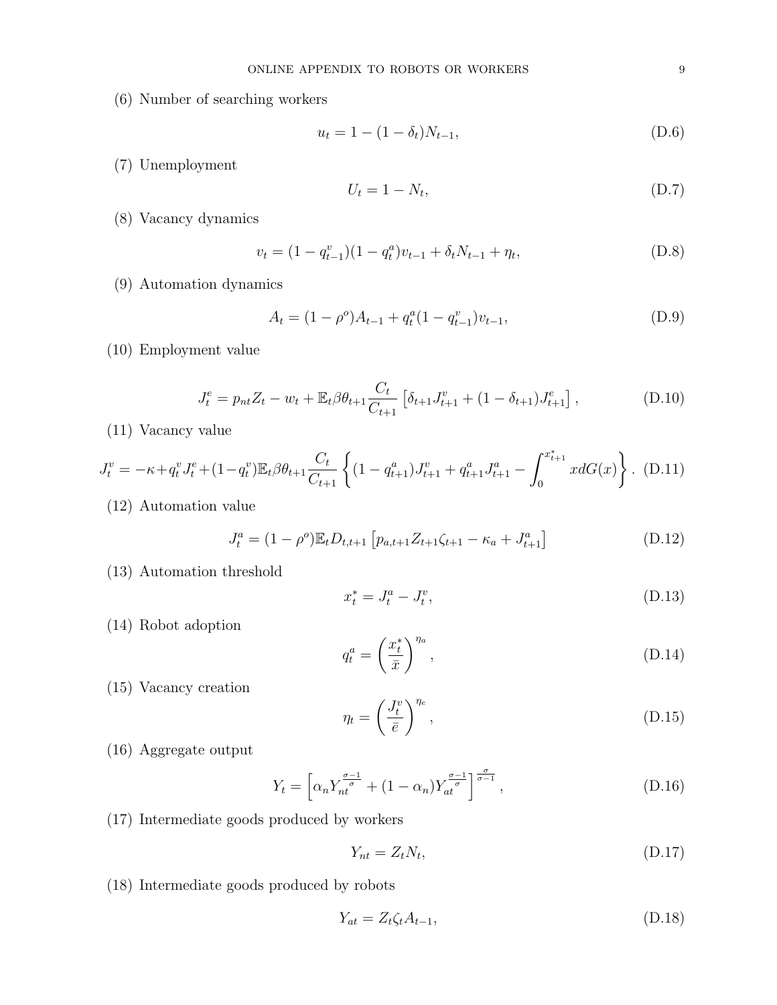(6) Number of searching workers

$$
u_t = 1 - (1 - \delta_t)N_{t-1},
$$
\n(D.6)

(7) Unemployment

$$
U_t = 1 - N_t,\tag{D.7}
$$

(8) Vacancy dynamics

$$
v_t = (1 - q_{t-1}^v)(1 - q_t^a)v_{t-1} + \delta_t N_{t-1} + \eta_t,
$$
\n(D.8)

(9) Automation dynamics

$$
A_t = (1 - \rho^o)A_{t-1} + q_t^a (1 - q_{t-1}^v)v_{t-1},
$$
\n(D.9)

(10) Employment value

$$
J_t^e = p_{nt} Z_t - w_t + \mathbb{E}_t \beta \theta_{t+1} \frac{C_t}{C_{t+1}} \left[ \delta_{t+1} J_{t+1}^v + (1 - \delta_{t+1}) J_{t+1}^e \right], \tag{D.10}
$$

(11) Vacancy value

$$
J_t^v = -\kappa + q_t^v J_t^e + (1 - q_t^v) \mathbb{E}_t \beta \theta_{t+1} \frac{C_t}{C_{t+1}} \left\{ (1 - q_{t+1}^a) J_{t+1}^v + q_{t+1}^a J_{t+1}^a - \int_0^{x_{t+1}^*} x dG(x) \right\}.
$$
 (D.11)

(12) Automation value

$$
J_t^a = (1 - \rho^o) \mathbb{E}_t D_{t,t+1} \left[ p_{a,t+1} Z_{t+1} \zeta_{t+1} - \kappa_a + J_{t+1}^a \right]
$$
(D.12)

(13) Automation threshold

$$
x_t^* = J_t^a - J_t^v,\tag{D.13}
$$

(14) Robot adoption

$$
q_t^a = \left(\frac{x_t^*}{\bar{x}}\right)^{\eta_a},\tag{D.14}
$$

(15) Vacancy creation

$$
\eta_t = \left(\frac{J_t^v}{\bar{e}}\right)^{\eta_e},\tag{D.15}
$$

(16) Aggregate output

$$
Y_t = \left[ \alpha_n Y_{nt}^{\frac{\sigma - 1}{\sigma}} + (1 - \alpha_n) Y_{nt}^{\frac{\sigma - 1}{\sigma}} \right]^{\frac{\sigma}{\sigma - 1}}, \tag{D.16}
$$

(17) Intermediate goods produced by workers

$$
Y_{nt} = Z_t N_t, \tag{D.17}
$$

(18) Intermediate goods produced by robots

$$
Y_{at} = Z_t \zeta_t A_{t-1},\tag{D.18}
$$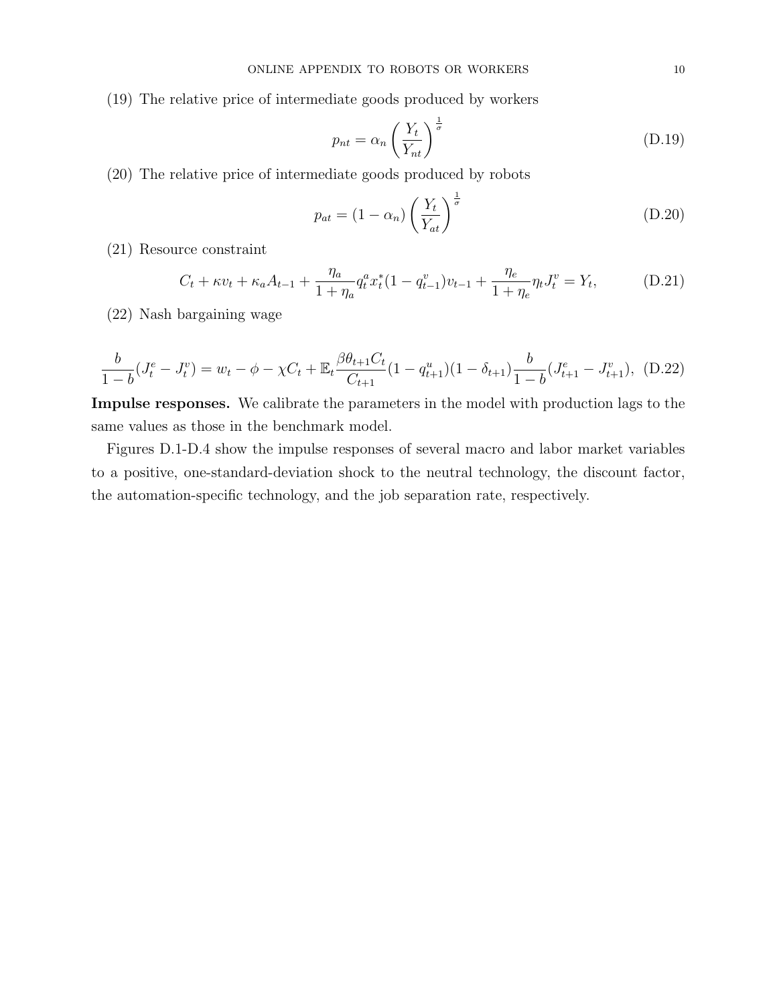(19) The relative price of intermediate goods produced by workers

$$
p_{nt} = \alpha_n \left(\frac{Y_t}{Y_{nt}}\right)^{\frac{1}{\sigma}} \tag{D.19}
$$

(20) The relative price of intermediate goods produced by robots

$$
p_{at} = (1 - \alpha_n) \left(\frac{Y_t}{Y_{at}}\right)^{\frac{1}{\sigma}}
$$
 (D.20)

(21) Resource constraint

$$
C_t + \kappa v_t + \kappa_a A_{t-1} + \frac{\eta_a}{1 + \eta_a} q_t^a x_t^* (1 - q_{t-1}^v) v_{t-1} + \frac{\eta_e}{1 + \eta_e} \eta_t J_t^v = Y_t,
$$
 (D.21)

(22) Nash bargaining wage

$$
\frac{b}{1-b}(J_t^e - J_t^v) = w_t - \phi - \chi C_t + \mathbb{E}_t \frac{\beta \theta_{t+1} C_t}{C_{t+1}} (1 - q_{t+1}^u)(1 - \delta_{t+1}) \frac{b}{1-b}(J_{t+1}^e - J_{t+1}^v), \quad (D.22)
$$

Impulse responses. We calibrate the parameters in the model with production lags to the same values as those in the benchmark model.

Figures D.1-D.4 show the impulse responses of several macro and labor market variables to a positive, one-standard-deviation shock to the neutral technology, the discount factor, the automation-specific technology, and the job separation rate, respectively.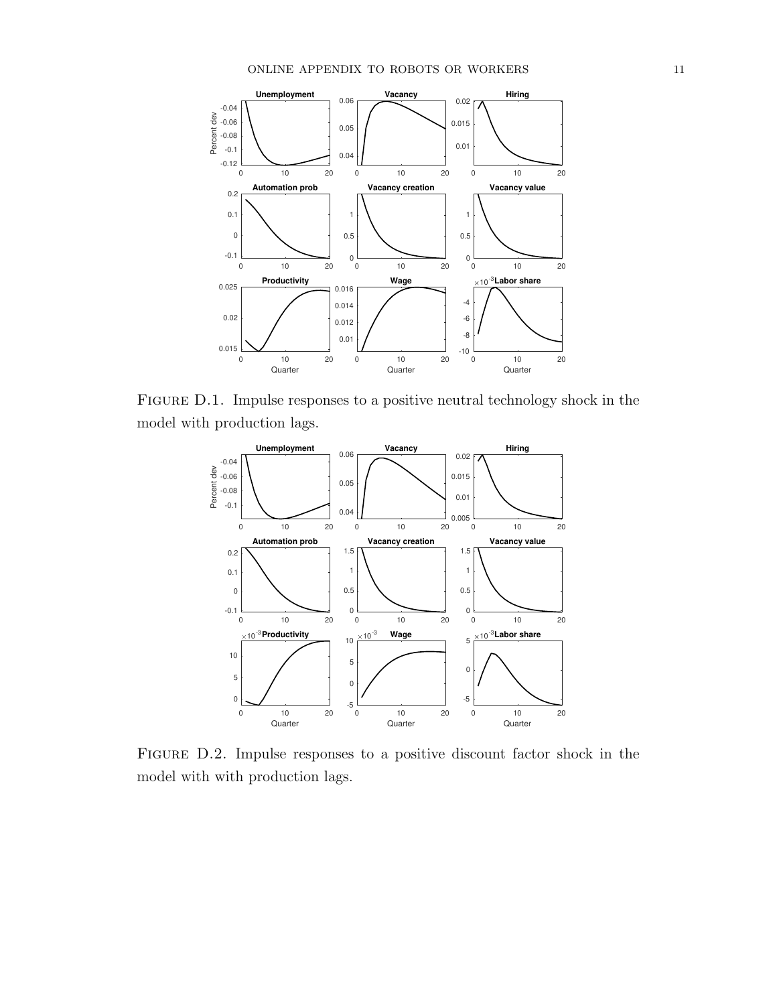

Figure D.1. Impulse responses to a positive neutral technology shock in the model with production lags.



Figure D.2. Impulse responses to a positive discount factor shock in the model with with production lags.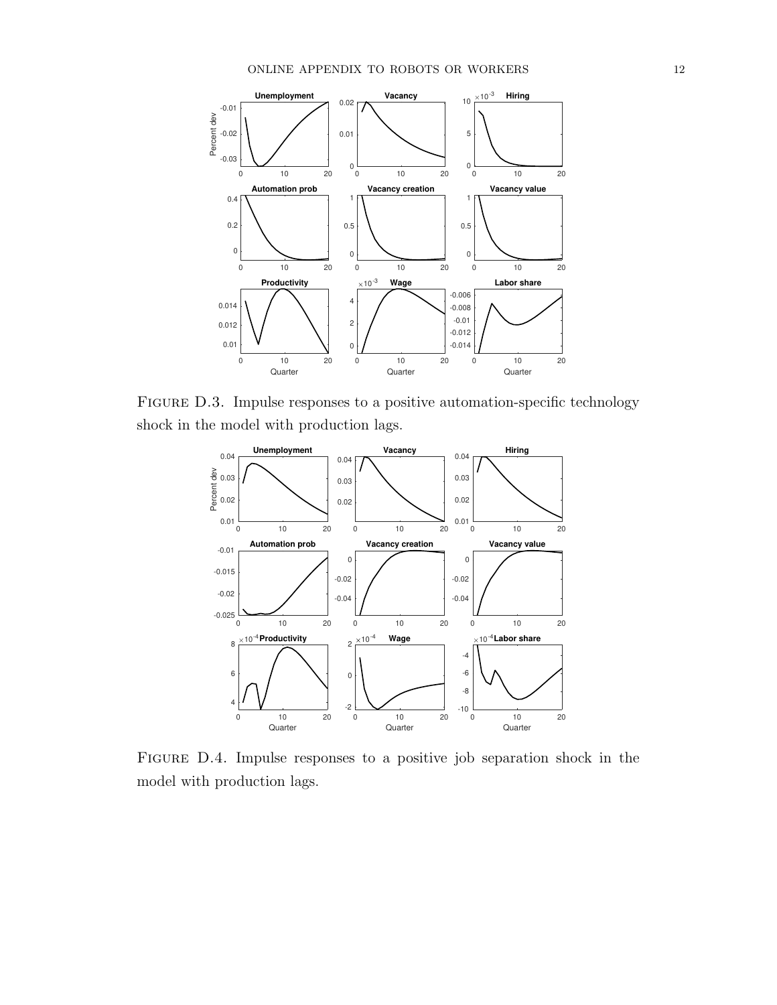

FIGURE D.3. Impulse responses to a positive automation-specific technology shock in the model with production lags.



Figure D.4. Impulse responses to a positive job separation shock in the model with production lags.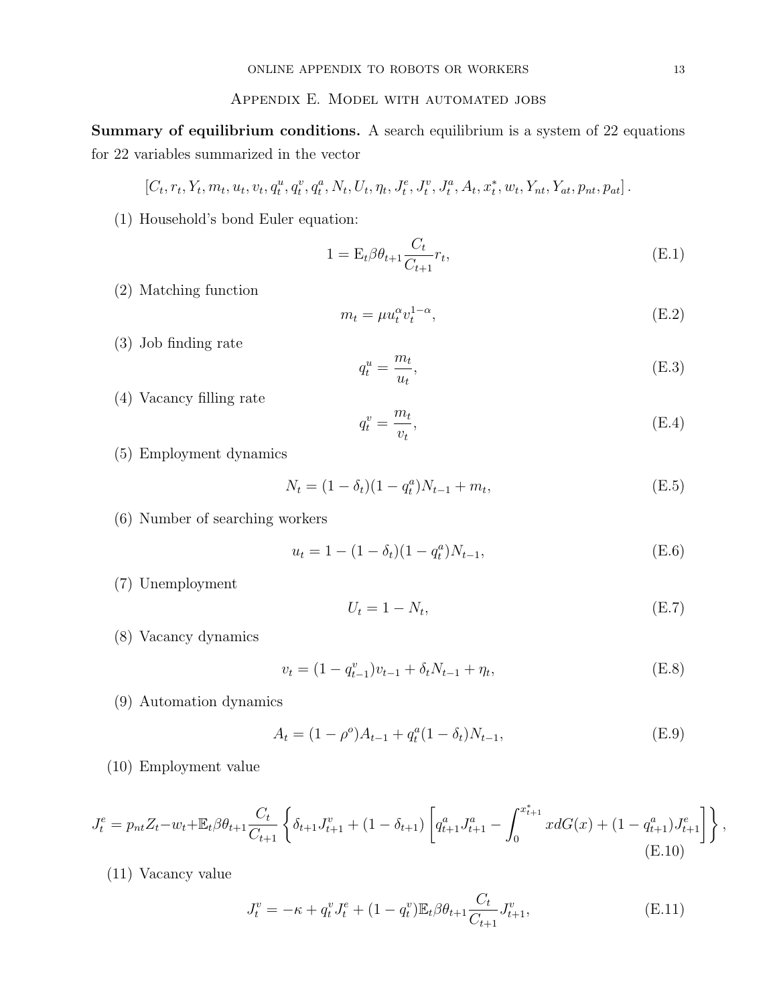# Appendix E. Model with automated jobs

Summary of equilibrium conditions. A search equilibrium is a system of 22 equations for 22 variables summarized in the vector

 $[C_t, r_t, Y_t, m_t, u_t, v_t, q_t^u, q_t^v, q_t^a, N_t, U_t, \eta_t, J_t^e, J_t^v, J_t^a, A_t, x_t^*, w_t, Y_{nt}, Y_{at}, p_{nt}, p_{at}]$ .

(1) Household's bond Euler equation:

$$
1 = E_t \beta \theta_{t+1} \frac{C_t}{C_{t+1}} r_t,
$$
\n(E.1)

(2) Matching function

$$
m_t = \mu u_t^{\alpha} v_t^{1-\alpha},\tag{E.2}
$$

(3) Job finding rate

$$
q_t^u = \frac{m_t}{u_t},\tag{E.3}
$$

(4) Vacancy filling rate

$$
q_t^v = \frac{m_t}{v_t},\tag{E.4}
$$

(5) Employment dynamics

$$
N_t = (1 - \delta_t)(1 - q_t^a)N_{t-1} + m_t,
$$
\n(E.5)

(6) Number of searching workers

$$
u_t = 1 - (1 - \delta_t)(1 - q_t^a)N_{t-1},
$$
\n(E.6)

(7) Unemployment

$$
U_t = 1 - N_t,\tag{E.7}
$$

(8) Vacancy dynamics

$$
v_t = (1 - q_{t-1}^v)v_{t-1} + \delta_t N_{t-1} + \eta_t,
$$
\n(E.8)

(9) Automation dynamics

$$
A_t = (1 - \rho^o)A_{t-1} + q_t^a (1 - \delta_t)N_{t-1},
$$
\n(E.9)

(10) Employment value

$$
J_t^e = p_{nt} Z_t - w_t + \mathbb{E}_t \beta \theta_{t+1} \frac{C_t}{C_{t+1}} \left\{ \delta_{t+1} J_{t+1}^v + (1 - \delta_{t+1}) \left[ q_{t+1}^a J_{t+1}^a - \int_0^{x_{t+1}^*} x dG(x) + (1 - q_{t+1}^a) J_{t+1}^e \right] \right\},
$$
\n(E.10)

(11) Vacancy value

$$
J_t^v = -\kappa + q_t^v J_t^e + (1 - q_t^v) \mathbb{E}_t \beta \theta_{t+1} \frac{C_t}{C_{t+1}} J_{t+1}^v,
$$
\n(E.11)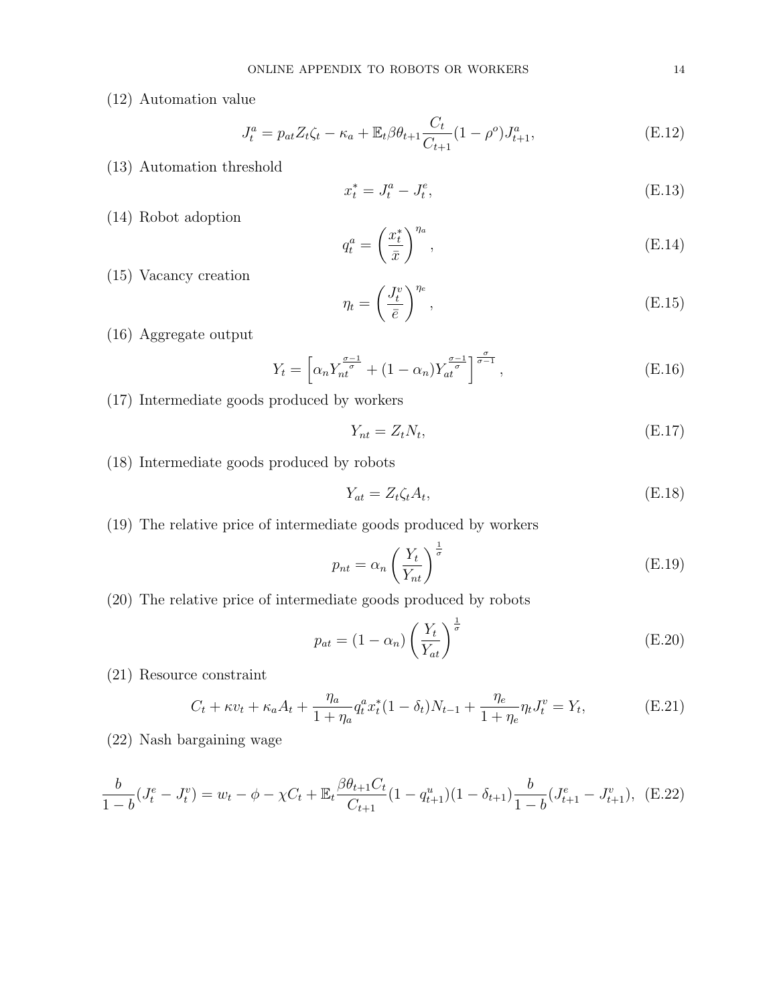(12) Automation value

$$
J_t^a = p_{at} Z_t \zeta_t - \kappa_a + \mathbb{E}_t \beta \theta_{t+1} \frac{C_t}{C_{t+1}} (1 - \rho^o) J_{t+1}^a,
$$
\n(E.12)

(13) Automation threshold

$$
x_t^* = J_t^a - J_t^e,\tag{E.13}
$$

(14) Robot adoption

$$
q_t^a = \left(\frac{x_t^*}{\bar{x}}\right)^{\eta_a},\tag{E.14}
$$

(15) Vacancy creation

$$
\eta_t = \left(\frac{J_t^v}{\bar{e}}\right)^{\eta_e},\tag{E.15}
$$

(16) Aggregate output

$$
Y_t = \left[ \alpha_n Y_{nt}^{\frac{\sigma - 1}{\sigma}} + (1 - \alpha_n) Y_{at}^{\frac{\sigma - 1}{\sigma}} \right]^{\frac{\sigma}{\sigma - 1}},
$$
\n(E.16)

(17) Intermediate goods produced by workers

$$
Y_{nt} = Z_t N_t, \tag{E.17}
$$

(18) Intermediate goods produced by robots

$$
Y_{at} = Z_t \zeta_t A_t,\tag{E.18}
$$

(19) The relative price of intermediate goods produced by workers

$$
p_{nt} = \alpha_n \left(\frac{Y_t}{Y_{nt}}\right)^{\frac{1}{\sigma}} \tag{E.19}
$$

(20) The relative price of intermediate goods produced by robots

$$
p_{at} = (1 - \alpha_n) \left(\frac{Y_t}{Y_{at}}\right)^{\frac{1}{\sigma}}
$$
 (E.20)

(21) Resource constraint

$$
C_t + \kappa v_t + \kappa_a A_t + \frac{\eta_a}{1 + \eta_a} q_t^a x_t^*(1 - \delta_t) N_{t-1} + \frac{\eta_e}{1 + \eta_e} \eta_t J_t^v = Y_t,
$$
 (E.21)

(22) Nash bargaining wage

$$
\frac{b}{1-b}(J_t^e - J_t^v) = w_t - \phi - \chi C_t + \mathbb{E}_t \frac{\beta \theta_{t+1} C_t}{C_{t+1}} (1 - q_{t+1}^u)(1 - \delta_{t+1}) \frac{b}{1-b}(J_{t+1}^e - J_{t+1}^v), \quad (E.22)
$$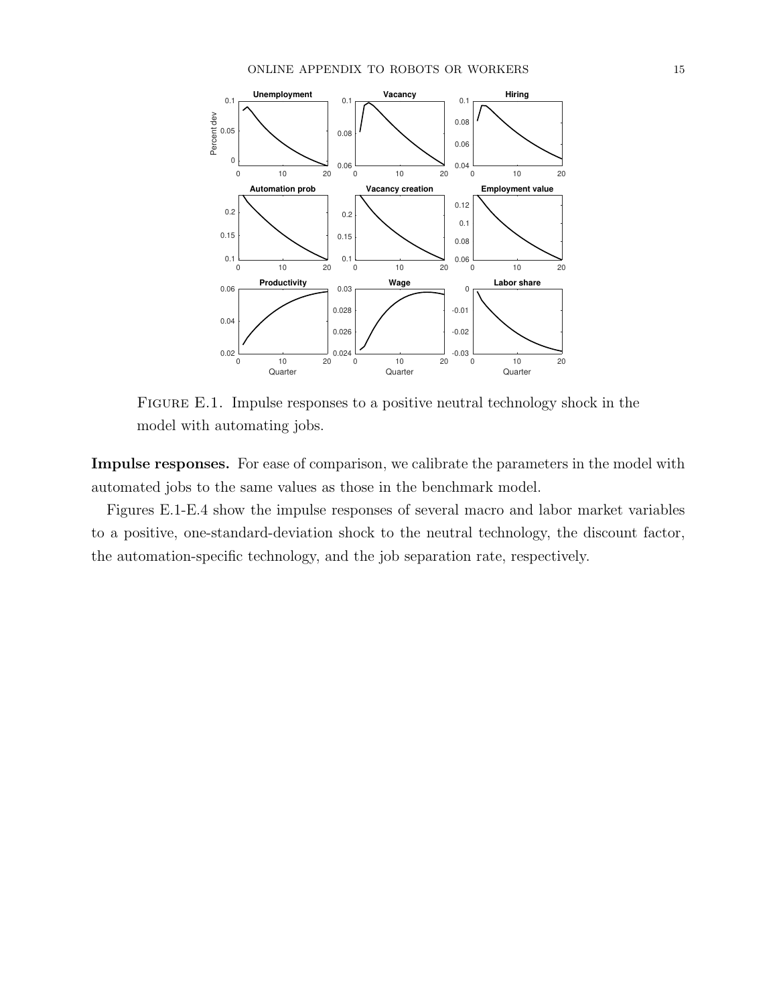

Figure E.1. Impulse responses to a positive neutral technology shock in the model with automating jobs.

Impulse responses. For ease of comparison, we calibrate the parameters in the model with automated jobs to the same values as those in the benchmark model.

Figures E.1-E.4 show the impulse responses of several macro and labor market variables to a positive, one-standard-deviation shock to the neutral technology, the discount factor, the automation-specific technology, and the job separation rate, respectively.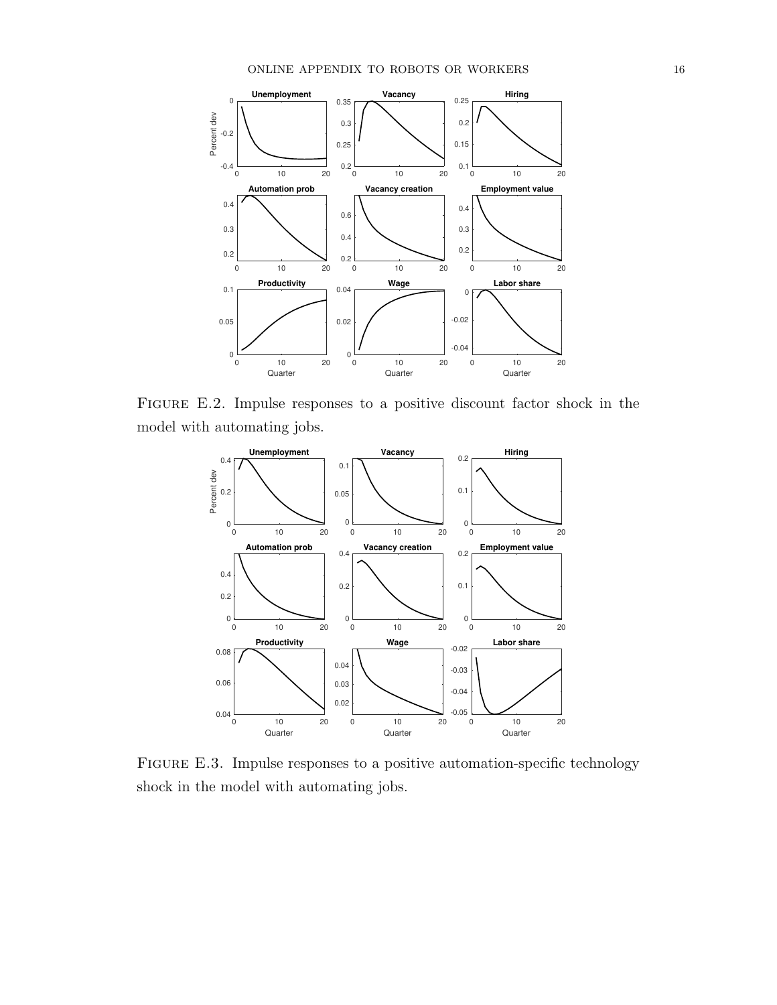

Figure E.2. Impulse responses to a positive discount factor shock in the model with automating jobs.



FIGURE E.3. Impulse responses to a positive automation-specific technology shock in the model with automating jobs.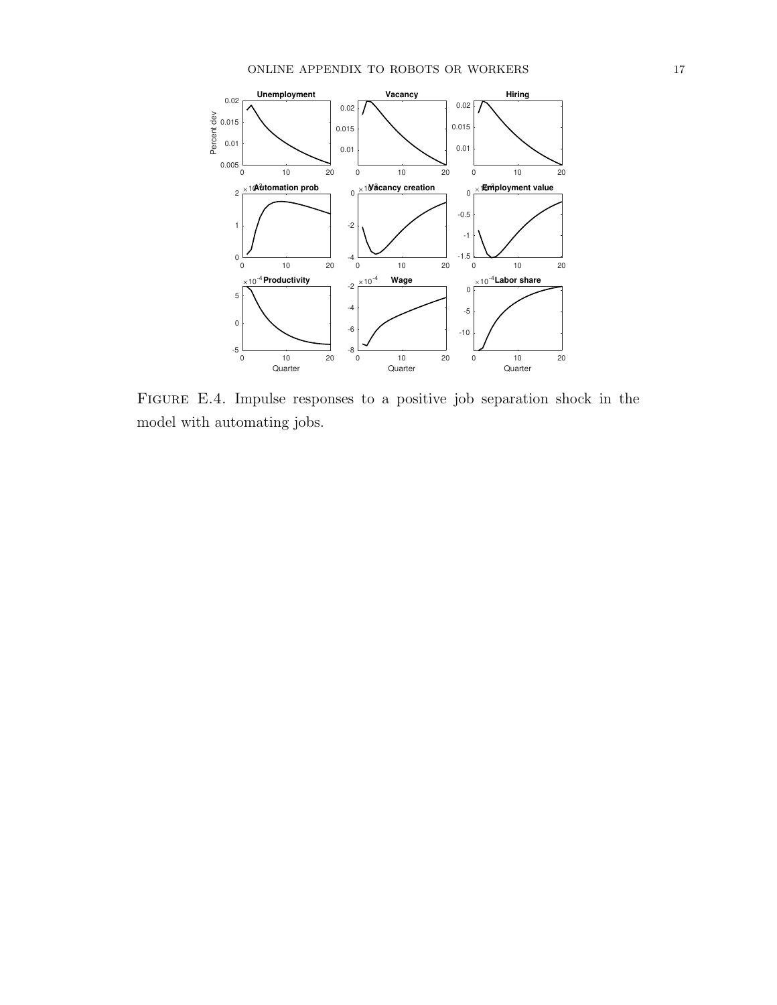

FIGURE E.4. Impulse responses to a positive job separation shock in the model with automating jobs.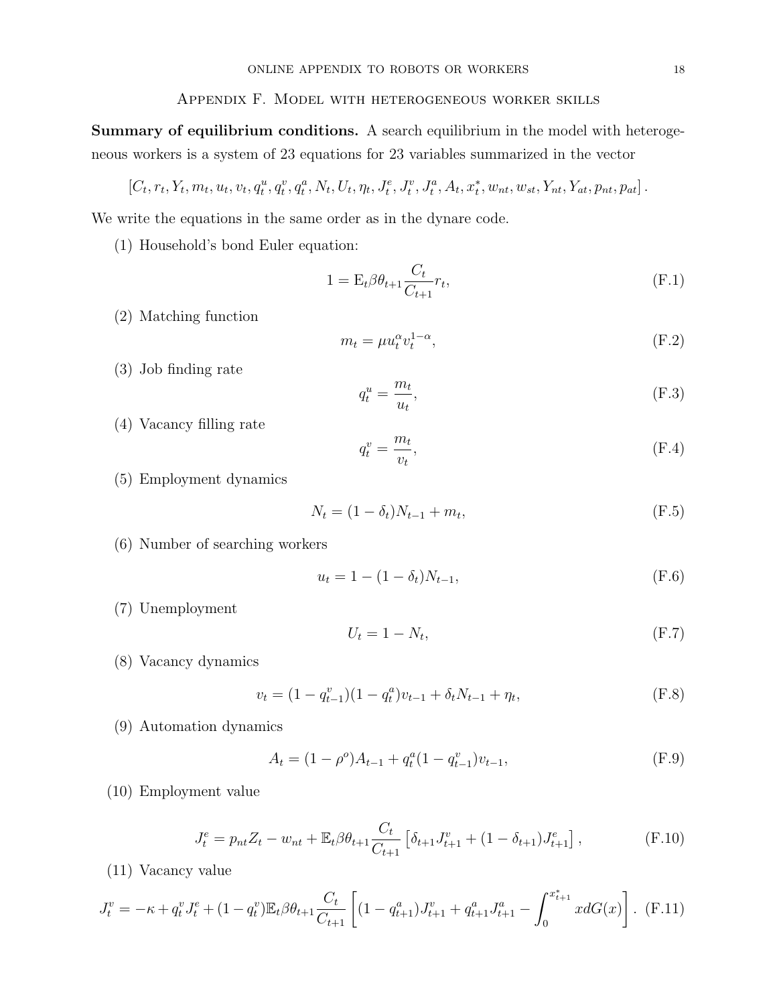## Appendix F. Model with heterogeneous worker skills

Summary of equilibrium conditions. A search equilibrium in the model with heterogeneous workers is a system of 23 equations for 23 variables summarized in the vector

 $[C_t, r_t, Y_t, m_t, u_t, v_t, q_t^u, q_t^v, q_t^a, N_t, U_t, \eta_t, J_t^e, J_t^v, J_t^a, A_t, x_t^*, w_{nt}, w_{st}, Y_{nt}, Y_{at}, p_{nt}, p_{at}]$ .

We write the equations in the same order as in the dynare code.

(1) Household's bond Euler equation:

$$
1 = E_t \beta \theta_{t+1} \frac{C_t}{C_{t+1}} r_t,
$$
\n(F.1)

(2) Matching function

$$
m_t = \mu u_t^{\alpha} v_t^{1-\alpha},\tag{F.2}
$$

(3) Job finding rate

$$
q_t^u = \frac{m_t}{u_t},\tag{F.3}
$$

(4) Vacancy filling rate

$$
q_t^v = \frac{m_t}{v_t},\tag{F.4}
$$

(5) Employment dynamics

$$
N_t = (1 - \delta_t)N_{t-1} + m_t, \tag{F.5}
$$

(6) Number of searching workers

$$
u_t = 1 - (1 - \delta_t)N_{t-1},
$$
\n(F.6)

(7) Unemployment

$$
U_t = 1 - N_t,\tag{F.7}
$$

(8) Vacancy dynamics

$$
v_t = (1 - q_{t-1}^v)(1 - q_t^a)v_{t-1} + \delta_t N_{t-1} + \eta_t,
$$
\n(F.8)

(9) Automation dynamics

$$
A_t = (1 - \rho^o)A_{t-1} + q_t^a (1 - q_{t-1}^v)v_{t-1},
$$
\n(F.9)

(10) Employment value

$$
J_t^e = p_{nt} Z_t - w_{nt} + \mathbb{E}_t \beta \theta_{t+1} \frac{C_t}{C_{t+1}} \left[ \delta_{t+1} J_{t+1}^v + (1 - \delta_{t+1}) J_{t+1}^e \right], \tag{F.10}
$$

(11) Vacancy value

$$
J_t^v = -\kappa + q_t^v J_t^e + (1 - q_t^v) \mathbb{E}_t \beta \theta_{t+1} \frac{C_t}{C_{t+1}} \left[ (1 - q_{t+1}^a) J_{t+1}^v + q_{t+1}^a J_{t+1}^a - \int_0^{x_{t+1}^*} x dG(x) \right].
$$
 (F.11)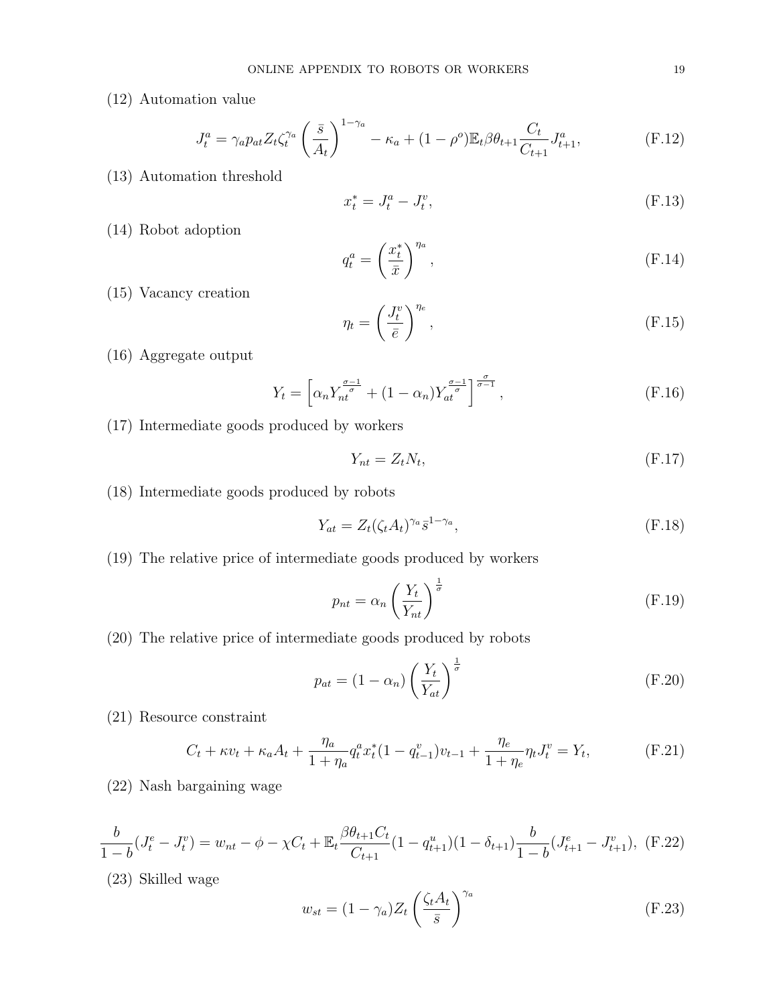(12) Automation value

$$
J_t^a = \gamma_a p_{at} Z_t \zeta_t^{\gamma_a} \left(\frac{\bar{s}}{A_t}\right)^{1-\gamma_a} - \kappa_a + (1-\rho^o) \mathbb{E}_t \beta \theta_{t+1} \frac{C_t}{C_{t+1}} J_{t+1}^a, \tag{F.12}
$$

(13) Automation threshold

$$
x_t^* = J_t^a - J_t^v,\tag{F.13}
$$

(14) Robot adoption

$$
q_t^a = \left(\frac{x_t^*}{\bar{x}}\right)^{\eta_a},\tag{F.14}
$$

(15) Vacancy creation

$$
\eta_t = \left(\frac{J_t^v}{\bar{e}}\right)^{\eta_e},\tag{F.15}
$$

(16) Aggregate output

$$
Y_t = \left[ \alpha_n Y_{nt}^{\frac{\sigma - 1}{\sigma}} + (1 - \alpha_n) Y_{at}^{\frac{\sigma - 1}{\sigma}} \right]^{\frac{\sigma}{\sigma - 1}},
$$
\n(F.16)

(17) Intermediate goods produced by workers

$$
Y_{nt} = Z_t N_t, \tag{F.17}
$$

(18) Intermediate goods produced by robots

$$
Y_{at} = Z_t(\zeta_t A_t)^{\gamma_a} \bar{s}^{1-\gamma_a},\tag{F.18}
$$

(19) The relative price of intermediate goods produced by workers

$$
p_{nt} = \alpha_n \left(\frac{Y_t}{Y_{nt}}\right)^{\frac{1}{\sigma}} \tag{F.19}
$$

(20) The relative price of intermediate goods produced by robots

$$
p_{at} = (1 - \alpha_n) \left(\frac{Y_t}{Y_{at}}\right)^{\frac{1}{\sigma}}
$$
 (F.20)

(21) Resource constraint

$$
C_t + \kappa v_t + \kappa_a A_t + \frac{\eta_a}{1 + \eta_a} q_t^a x_t^* (1 - q_{t-1}^v) v_{t-1} + \frac{\eta_e}{1 + \eta_e} \eta_t J_t^v = Y_t, \tag{F.21}
$$

(22) Nash bargaining wage

$$
\frac{b}{1-b}(J_t^e - J_t^v) = w_{nt} - \phi - \chi C_t + \mathbb{E}_t \frac{\beta \theta_{t+1} C_t}{C_{t+1}} (1 - q_{t+1}^u)(1 - \delta_{t+1}) \frac{b}{1-b}(J_{t+1}^e - J_{t+1}^v), \text{ (F.22)}
$$

(23) Skilled wage

$$
w_{st} = (1 - \gamma_a) Z_t \left(\frac{\zeta_t A_t}{\bar{s}}\right)^{\gamma_a} \tag{F.23}
$$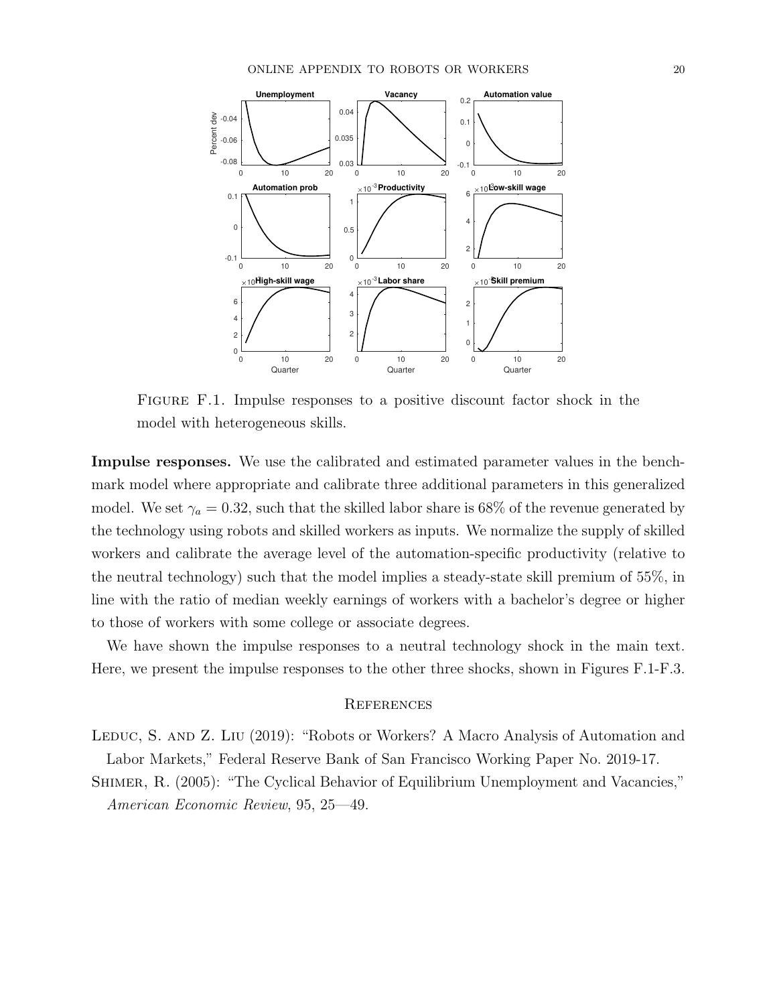

Figure F.1. Impulse responses to a positive discount factor shock in the model with heterogeneous skills.

Impulse responses. We use the calibrated and estimated parameter values in the benchmark model where appropriate and calibrate three additional parameters in this generalized model. We set  $\gamma_a = 0.32$ , such that the skilled labor share is 68% of the revenue generated by the technology using robots and skilled workers as inputs. We normalize the supply of skilled workers and calibrate the average level of the automation-specific productivity (relative to the neutral technology) such that the model implies a steady-state skill premium of 55%, in line with the ratio of median weekly earnings of workers with a bachelor's degree or higher to those of workers with some college or associate degrees.

We have shown the impulse responses to a neutral technology shock in the main text. Here, we present the impulse responses to the other three shocks, shown in Figures F.1-F.3.

#### **REFERENCES**

LEDUC, S. AND Z. LIU (2019): "Robots or Workers? A Macro Analysis of Automation and Labor Markets," Federal Reserve Bank of San Francisco Working Paper No. 2019-17.

Shimer, R. (2005): "The Cyclical Behavior of Equilibrium Unemployment and Vacancies," American Economic Review, 95, 25—49.